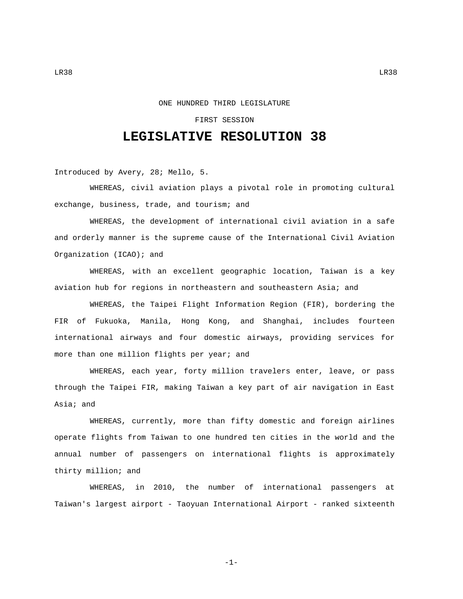## FIRST SESSION

## **LEGISLATIVE RESOLUTION 38**

Introduced by Avery, 28; Mello, 5.

WHEREAS, civil aviation plays a pivotal role in promoting cultural exchange, business, trade, and tourism; and

WHEREAS, the development of international civil aviation in a safe and orderly manner is the supreme cause of the International Civil Aviation Organization (ICAO); and

WHEREAS, with an excellent geographic location, Taiwan is a key aviation hub for regions in northeastern and southeastern Asia; and

WHEREAS, the Taipei Flight Information Region (FIR), bordering the FIR of Fukuoka, Manila, Hong Kong, and Shanghai, includes fourteen international airways and four domestic airways, providing services for more than one million flights per year; and

WHEREAS, each year, forty million travelers enter, leave, or pass through the Taipei FIR, making Taiwan a key part of air navigation in East Asia; and

WHEREAS, currently, more than fifty domestic and foreign airlines operate flights from Taiwan to one hundred ten cities in the world and the annual number of passengers on international flights is approximately thirty million; and

WHEREAS, in 2010, the number of international passengers at Taiwan's largest airport - Taoyuan International Airport - ranked sixteenth

-1-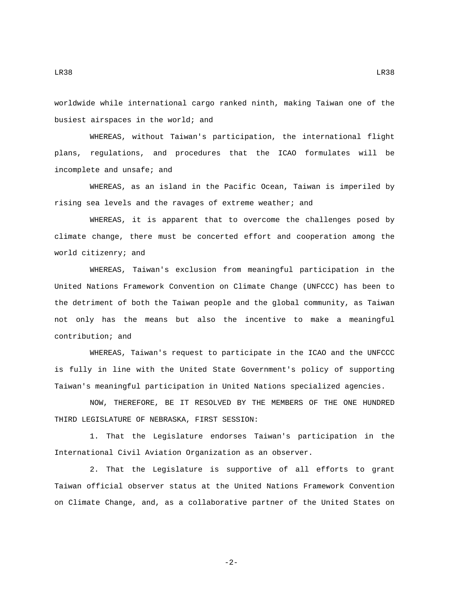LR38 LR38

worldwide while international cargo ranked ninth, making Taiwan one of the busiest airspaces in the world; and

WHEREAS, without Taiwan's participation, the international flight plans, regulations, and procedures that the ICAO formulates will be incomplete and unsafe; and

WHEREAS, as an island in the Pacific Ocean, Taiwan is imperiled by rising sea levels and the ravages of extreme weather; and

WHEREAS, it is apparent that to overcome the challenges posed by climate change, there must be concerted effort and cooperation among the world citizenry; and

WHEREAS, Taiwan's exclusion from meaningful participation in the United Nations Framework Convention on Climate Change (UNFCCC) has been to the detriment of both the Taiwan people and the global community, as Taiwan not only has the means but also the incentive to make a meaningful contribution; and

WHEREAS, Taiwan's request to participate in the ICAO and the UNFCCC is fully in line with the United State Government's policy of supporting Taiwan's meaningful participation in United Nations specialized agencies.

NOW, THEREFORE, BE IT RESOLVED BY THE MEMBERS OF THE ONE HUNDRED THIRD LEGISLATURE OF NEBRASKA, FIRST SESSION:

1. That the Legislature endorses Taiwan's participation in the International Civil Aviation Organization as an observer.

2. That the Legislature is supportive of all efforts to grant Taiwan official observer status at the United Nations Framework Convention on Climate Change, and, as a collaborative partner of the United States on

-2-